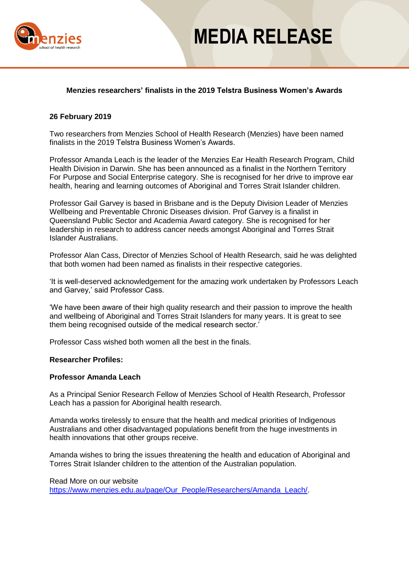

## **MEDIA RELEASE**

## **Menzies researchers' finalists in the 2019 Telstra Business Women's Awards**

### **26 February 2019**

Two researchers from Menzies School of Health Research (Menzies) have been named finalists in the 2019 Telstra Business Women's Awards.

Professor Amanda Leach is the leader of the Menzies Ear Health Research Program, Child Health Division in Darwin. She has been announced as a finalist in the Northern Territory For Purpose and Social Enterprise category. She is recognised for her drive to improve ear health, hearing and learning outcomes of Aboriginal and Torres Strait Islander children.

Professor Gail Garvey is based in Brisbane and is the Deputy Division Leader of Menzies Wellbeing and Preventable Chronic Diseases division. Prof Garvey is a finalist in Queensland Public Sector and Academia Award category. She is recognised for her leadership in research to address cancer needs amongst Aboriginal and Torres Strait Islander Australians.

Professor Alan Cass, Director of Menzies School of Health Research, said he was delighted that both women had been named as finalists in their respective categories.

'It is well-deserved acknowledgement for the amazing work undertaken by Professors Leach and Garvey,' said Professor Cass.

'We have been aware of their high quality research and their passion to improve the health and wellbeing of Aboriginal and Torres Strait Islanders for many years. It is great to see them being recognised outside of the medical research sector.'

Professor Cass wished both women all the best in the finals.

### **Researcher Profiles:**

### **Professor Amanda Leach**

As a Principal Senior Research Fellow of Menzies School of Health Research, Professor Leach has a passion for Aboriginal health research.

Amanda works tirelessly to ensure that the health and medical priorities of Indigenous Australians and other disadvantaged populations benefit from the huge investments in health innovations that other groups receive.

Amanda wishes to bring the issues threatening the health and education of Aboriginal and Torres Strait Islander children to the attention of the Australian population.

Read More on our website [https://www.menzies.edu.au/page/Our\\_People/Researchers/Amanda\\_Leach/.](https://www.menzies.edu.au/page/Our_People/Researchers/Amanda_Leach/)